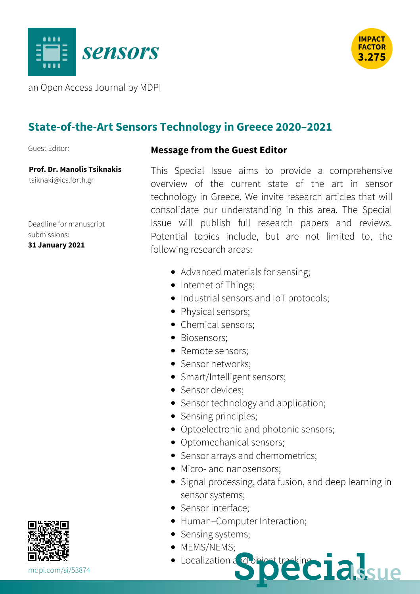



an Open Access Journal by MDPI

## **State-of-the-Art Sensors Technology in Greece 2020–2021**

Guest Editor:

## **Message from the Guest Editor**

**Prof. Dr. Manolis Tsiknakis** [tsiknaki@ics.forth.gr](mailto:%2574%2573%2569%256b%256e%2561%256b%2569@%2569%2563%2573.%2566%256f%2572%2574%2568.%2567%2572)

Deadline for manuscript submissions: **31 January 2021**

This Special Issue aims to provide a comprehensive overview of the current state of the art in sensor technology in Greece. We invite research articles that will consolidate our understanding in this area. The Special Issue will publish full research papers and reviews. Potential topics include, but are not limited to, the following research areas:

- Advanced materials for sensing;
- Internet of Things;
- Industrial sensors and IoT protocols;
- Physical sensors;
- Chemical sensors:
- Biosensors:
- Remote sensors:
- Sensor networks:
- Smart/Intelligent sensors;
- Sensor devices:
- Sensor technology and application;
- Sensing principles;
- Optoelectronic and photonic sensors;
- Optomechanical sensors;
- Sensor arrays and chemometrics;
- Micro- and nanosensors:
- Signal processing, data fusion, and deep learning in sensor systems;
- Sensor interface;
- Human–Computer Interaction;
- Sensing systems;
- MEMS/NEMS:
- Localization and **MARK SPECIAISLE**